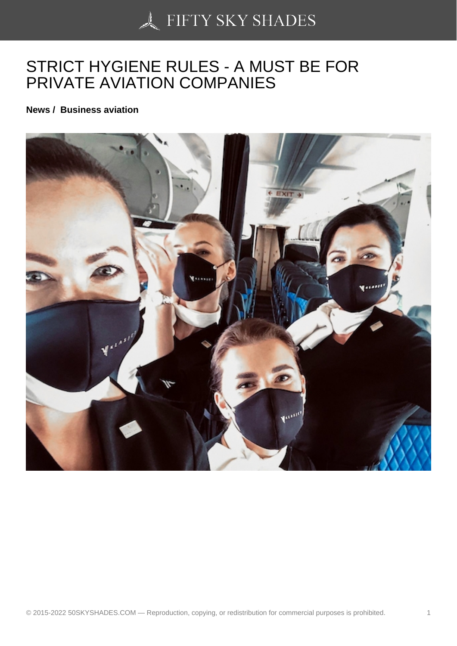## [STRICT HYGIENE RU](https://50skyshades.com)LES - A MUST BE FOR PRIVATE AVIATION COMPANIES

News / Business aviation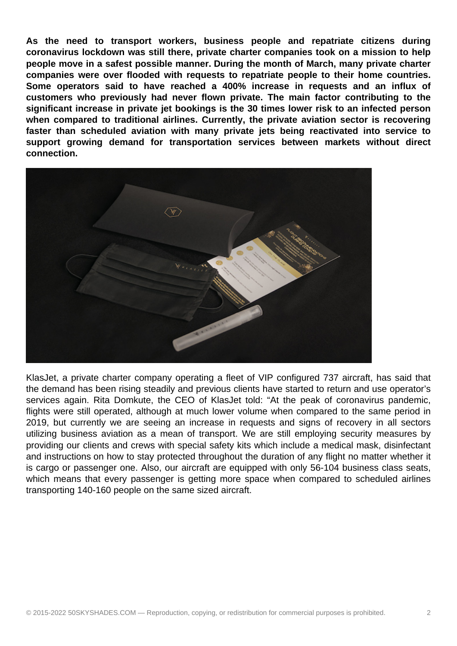**As the need to transport workers, business people and repatriate citizens during coronavirus lockdown was still there, private charter companies took on a mission to help people move in a safest possible manner. During the month of March, many private charter companies were over flooded with requests to repatriate people to their home countries. Some operators said to have reached a 400% increase in requests and an influx of customers who previously had never flown private. The main factor contributing to the significant increase in private jet bookings is the 30 times lower risk to an infected person when compared to traditional airlines. Currently, the private aviation sector is recovering faster than scheduled aviation with many private jets being reactivated into service to support growing demand for transportation services between markets without direct connection.**



KlasJet, a private charter company operating a fleet of VIP configured 737 aircraft, has said that the demand has been rising steadily and previous clients have started to return and use operator's services again. Rita Domkute, the CEO of KlasJet told: "At the peak of coronavirus pandemic, flights were still operated, although at much lower volume when compared to the same period in 2019, but currently we are seeing an increase in requests and signs of recovery in all sectors utilizing business aviation as a mean of transport. We are still employing security measures by providing our clients and crews with special safety kits which include a medical mask, disinfectant and instructions on how to stay protected throughout the duration of any flight no matter whether it is cargo or passenger one. Also, our aircraft are equipped with only 56-104 business class seats, which means that every passenger is getting more space when compared to scheduled airlines transporting 140-160 people on the same sized aircraft.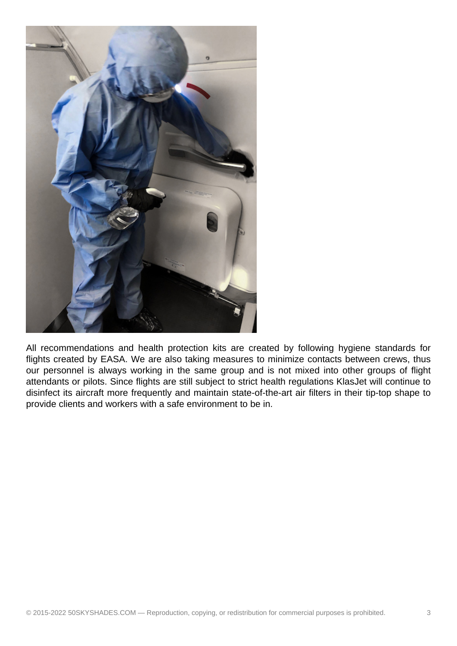

All recommendations and health protection kits are created by following hygiene standards for flights created by EASA. We are also taking measures to minimize contacts between crews, thus our personnel is always working in the same group and is not mixed into other groups of flight attendants or pilots. Since flights are still subject to strict health regulations KlasJet will continue to disinfect its aircraft more frequently and maintain state-of-the-art air filters in their tip-top shape to provide clients and workers with a safe environment to be in.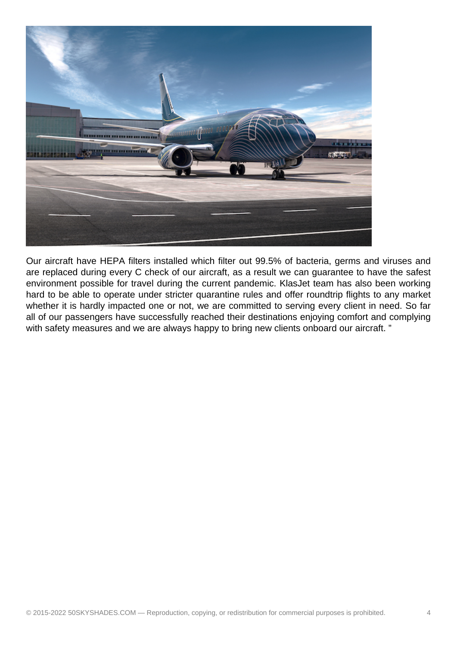

Our aircraft have HEPA filters installed which filter out 99.5% of bacteria, germs and viruses and are replaced during every C check of our aircraft, as a result we can guarantee to have the safest environment possible for travel during the current pandemic. KlasJet team has also been working hard to be able to operate under stricter quarantine rules and offer roundtrip flights to any market whether it is hardly impacted one or not, we are committed to serving every client in need. So far all of our passengers have successfully reached their destinations enjoying comfort and complying with safety measures and we are always happy to bring new clients onboard our aircraft."